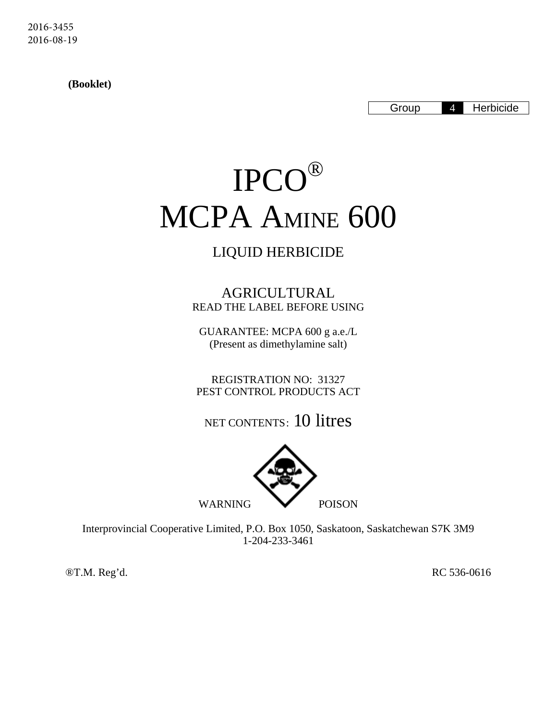2016-3455 2016-08-19

 **(Booklet)** 

Group 4 Herbicide

# IPCO® MCPA AMINE 600

# LIQUID HERBICIDE

AGRICULTURAL READ THE LABEL BEFORE USING

GUARANTEE: MCPA 600 g a.e./L (Present as dimethylamine salt)

REGISTRATION NO: 31327 PEST CONTROL PRODUCTS ACT

NET CONTENTS: 10 litres



Interprovincial Cooperative Limited, P.O. Box 1050, Saskatoon, Saskatchewan S7K 3M9 1-204-233-3461

®T.M. Reg'd. RC 536-0616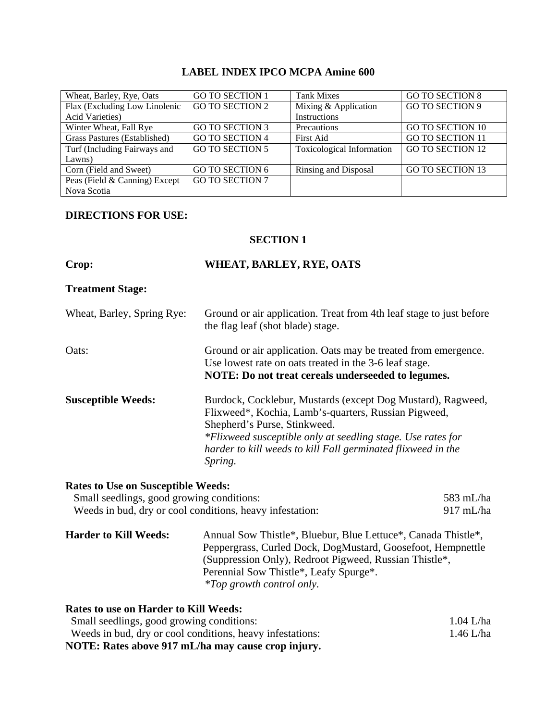# **LABEL INDEX IPCO MCPA Amine 600**

| Wheat, Barley, Rye, Oats      | <b>GO TO SECTION 1</b> | <b>Tank Mixes</b>         | <b>GO TO SECTION 8</b>  |
|-------------------------------|------------------------|---------------------------|-------------------------|
| Flax (Excluding Low Linolenic | <b>GO TO SECTION 2</b> | Mixing & Application      | <b>GO TO SECTION 9</b>  |
| <b>Acid Varieties)</b>        |                        | Instructions              |                         |
| Winter Wheat, Fall Rye        | <b>GO TO SECTION 3</b> | Precautions               | <b>GO TO SECTION 10</b> |
| Grass Pastures (Established)  | <b>GO TO SECTION 4</b> | First Aid                 | <b>GO TO SECTION 11</b> |
| Turf (Including Fairways and  | <b>GO TO SECTION 5</b> | Toxicological Information | <b>GO TO SECTION 12</b> |
| Lawns)                        |                        |                           |                         |
| Corn (Field and Sweet)        | GO TO SECTION 6        | Rinsing and Disposal      | <b>GO TO SECTION 13</b> |
| Peas (Field & Canning) Except | <b>GO TO SECTION 7</b> |                           |                         |
| Nova Scotia                   |                        |                           |                         |

#### **DIRECTIONS FOR USE:**

#### **SECTION 1**

| Crop:                                                                                  | WHEAT, BARLEY, RYE, OATS                                                                                                                                                                                                                                                                      |                        |
|----------------------------------------------------------------------------------------|-----------------------------------------------------------------------------------------------------------------------------------------------------------------------------------------------------------------------------------------------------------------------------------------------|------------------------|
| <b>Treatment Stage:</b>                                                                |                                                                                                                                                                                                                                                                                               |                        |
| Wheat, Barley, Spring Rye:                                                             | Ground or air application. Treat from 4th leaf stage to just before<br>the flag leaf (shot blade) stage.                                                                                                                                                                                      |                        |
| Oats:                                                                                  | Ground or air application. Oats may be treated from emergence.<br>Use lowest rate on oats treated in the 3-6 leaf stage.<br>NOTE: Do not treat cereals underseeded to legumes.                                                                                                                |                        |
| <b>Susceptible Weeds:</b>                                                              | Burdock, Cocklebur, Mustards (except Dog Mustard), Ragweed,<br>Flixweed*, Kochia, Lamb's-quarters, Russian Pigweed,<br>Shepherd's Purse, Stinkweed.<br>*Flixweed susceptible only at seedling stage. Use rates for<br>harder to kill weeds to kill Fall germinated flixweed in the<br>Spring. |                        |
| <b>Rates to Use on Susceptible Weeds:</b><br>Small seedlings, good growing conditions: | Weeds in bud, dry or cool conditions, heavy infestation:                                                                                                                                                                                                                                      | 583 mL/ha<br>917 mL/ha |

**Harder to Kill Weeds:** Annual Sow Thistle\*, Bluebur, Blue Lettuce\*, Canada Thistle\*, Peppergrass, Curled Dock, DogMustard, Goosefoot, Hempnettle (Suppression Only), Redroot Pigweed, Russian Thistle\*, Perennial Sow Thistle\*, Leafy Spurge\*. *\*Top growth control only.*

| <b>Rates to use on Harder to Kill Weeds:</b>              |           |
|-----------------------------------------------------------|-----------|
| Small seedlings, good growing conditions:                 | 1.04 L/ha |
| Weeds in bud, dry or cool conditions, heavy infestations: | 1.46 L/ha |
| NOTE: Rates above 917 mL/ha may cause crop injury.        |           |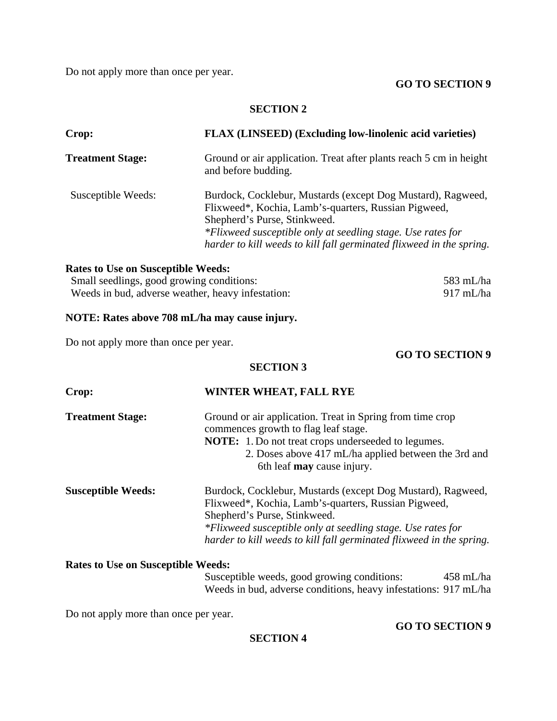Do not apply more than once per year.

#### **GO TO SECTION 9**

#### **SECTION 2**

| Crop:                   | FLAX (LINSEED) (Excluding low-linolenic acid varieties)                                                                                                                                                                                                                                    |  |
|-------------------------|--------------------------------------------------------------------------------------------------------------------------------------------------------------------------------------------------------------------------------------------------------------------------------------------|--|
| <b>Treatment Stage:</b> | Ground or air application. Treat after plants reach 5 cm in height<br>and before budding.                                                                                                                                                                                                  |  |
| Susceptible Weeds:      | Burdock, Cocklebur, Mustards (except Dog Mustard), Ragweed,<br>Flixweed*, Kochia, Lamb's-quarters, Russian Pigweed,<br>Shepherd's Purse, Stinkweed.<br>*Flixweed susceptible only at seedling stage. Use rates for<br>harder to kill weeds to kill fall germinated flixweed in the spring. |  |

#### **Rates to Use on Susceptible Weeds:**

| Small seedlings, good growing conditions:         | 583 mL/ha |
|---------------------------------------------------|-----------|
| Weeds in bud, adverse weather, heavy infestation: | 917 mL/ha |

# **NOTE: Rates above 708 mL/ha may cause injury.**

Do not apply more than once per year.

**GO TO SECTION 9** 

# **SECTION 3**

| Crop:                     | WINTER WHEAT, FALL RYE                                                                                                                                                                                                                                                                     |  |  |
|---------------------------|--------------------------------------------------------------------------------------------------------------------------------------------------------------------------------------------------------------------------------------------------------------------------------------------|--|--|
| <b>Treatment Stage:</b>   | Ground or air application. Treat in Spring from time crop<br>commences growth to flag leaf stage.<br><b>NOTE:</b> 1. Do not treat crops underseeded to legumes.<br>2. Doses above 417 mL/ha applied between the 3rd and<br>6th leaf may cause injury.                                      |  |  |
| <b>Susceptible Weeds:</b> | Burdock, Cocklebur, Mustards (except Dog Mustard), Ragweed,<br>Flixweed*, Kochia, Lamb's-quarters, Russian Pigweed,<br>Shepherd's Purse, Stinkweed.<br>*Flixweed susceptible only at seedling stage. Use rates for<br>harder to kill weeds to kill fall germinated flixweed in the spring. |  |  |

# **Rates to Use on Susceptible Weeds:**

Susceptible weeds, good growing conditions: 458 mL/ha Weeds in bud, adverse conditions, heavy infestations: 917 mL/ha

Do not apply more than once per year.

#### **GO TO SECTION 9**

# **SECTION 4**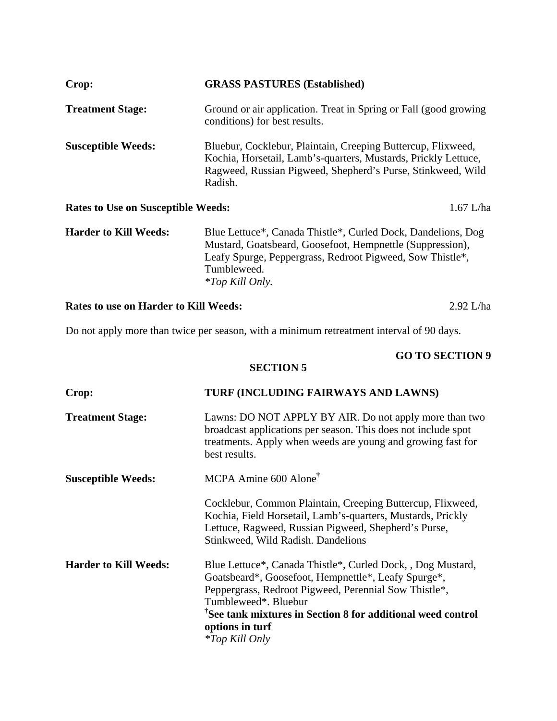| Crop:                                     | <b>GRASS PASTURES (Established)</b>                                                                                                                                                                                             |  |
|-------------------------------------------|---------------------------------------------------------------------------------------------------------------------------------------------------------------------------------------------------------------------------------|--|
| <b>Treatment Stage:</b>                   | Ground or air application. Treat in Spring or Fall (good growing)<br>conditions) for best results.                                                                                                                              |  |
| <b>Susceptible Weeds:</b>                 | Bluebur, Cocklebur, Plaintain, Creeping Buttercup, Flixweed,<br>Kochia, Horsetail, Lamb's-quarters, Mustards, Prickly Lettuce,<br>Ragweed, Russian Pigweed, Shepherd's Purse, Stinkweed, Wild<br>Radish.                        |  |
| <b>Rates to Use on Susceptible Weeds:</b> | $1.67$ L/ha                                                                                                                                                                                                                     |  |
| <b>Harder to Kill Weeds:</b>              | Blue Lettuce*, Canada Thistle*, Curled Dock, Dandelions, Dog<br>Mustard, Goatsbeard, Goosefoot, Hempnettle (Suppression),<br>Leafy Spurge, Peppergrass, Redroot Pigweed, Sow Thistle*,<br>Tumbleweed.<br><i>*Top Kill Only.</i> |  |

**Rates to use on Harder to Kill Weeds:** 2.92 L/ha

Do not apply more than twice per season, with a minimum retreatment interval of 90 days.

# **GO TO SECTION 9**

# **SECTION 5**

| Crop:                        | TURF (INCLUDING FAIRWAYS AND LAWNS)                                                                                                                                                                                                                                                                                        |  |
|------------------------------|----------------------------------------------------------------------------------------------------------------------------------------------------------------------------------------------------------------------------------------------------------------------------------------------------------------------------|--|
| <b>Treatment Stage:</b>      | Lawns: DO NOT APPLY BY AIR. Do not apply more than two<br>broadcast applications per season. This does not include spot<br>treatments. Apply when weeds are young and growing fast for<br>best results.                                                                                                                    |  |
| <b>Susceptible Weeds:</b>    | MCPA Amine 600 Alone <sup>†</sup>                                                                                                                                                                                                                                                                                          |  |
|                              | Cocklebur, Common Plaintain, Creeping Buttercup, Flixweed,<br>Kochia, Field Horsetail, Lamb's-quarters, Mustards, Prickly<br>Lettuce, Ragweed, Russian Pigweed, Shepherd's Purse,<br>Stinkweed, Wild Radish. Dandelions                                                                                                    |  |
| <b>Harder to Kill Weeds:</b> | Blue Lettuce*, Canada Thistle*, Curled Dock, , Dog Mustard,<br>Goatsbeard*, Goosefoot, Hempnettle*, Leafy Spurge*,<br>Peppergrass, Redroot Pigweed, Perennial Sow Thistle*,<br>Tumbleweed*. Bluebur<br><sup>†</sup> See tank mixtures in Section 8 for additional weed control<br>options in turf<br><i>*Top Kill Only</i> |  |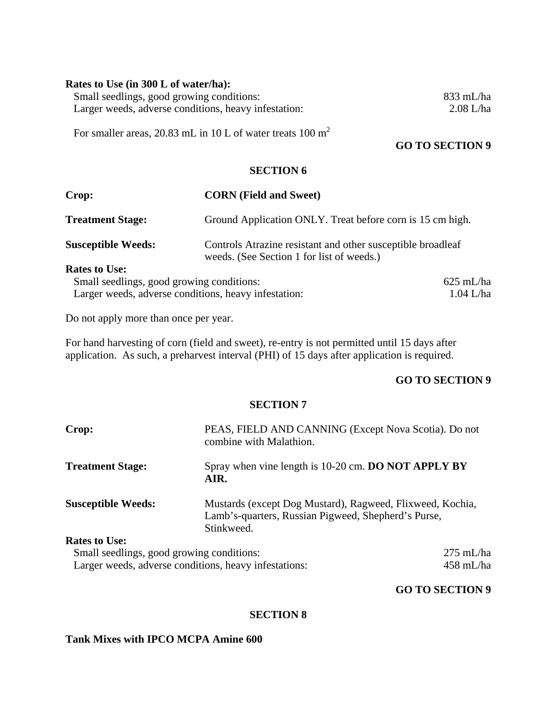#### **Rates to Use (in 300 L of water/ha):**

Small seedlings, good growing conditions: 833 mL/ha<br>
Larger weeds, adverse conditions, heavy infestation: 2.08 L/ha Larger weeds, adverse conditions, heavy infestation:

For smaller areas, 20.83 mL in 10 L of water treats 100 m<sup>2</sup>

# **GO TO SECTION 9**

#### **SECTION 6**

| Crop:                                                | <b>CORN</b> (Field and Sweet)                                                                            |                     |
|------------------------------------------------------|----------------------------------------------------------------------------------------------------------|---------------------|
| <b>Treatment Stage:</b>                              | Ground Application ONLY. Treat before corn is 15 cm high.                                                |                     |
| <b>Susceptible Weeds:</b>                            | Controls Atrazine resistant and other susceptible broadleaf<br>weeds. (See Section 1 for list of weeds.) |                     |
| <b>Rates to Use:</b>                                 |                                                                                                          |                     |
| Small seedlings, good growing conditions:            |                                                                                                          | $625 \text{ mL/ha}$ |
| Larger weeds, adverse conditions, heavy infestation: |                                                                                                          | $1.04$ L/ha         |

Do not apply more than once per year.

For hand harvesting of corn (field and sweet), re-entry is not permitted until 15 days after application. As such, a preharvest interval (PHI) of 15 days after application is required.

# **GO TO SECTION 9**

#### **SECTION 7**

| Crop:                                   | PEAS, FIELD AND CANNING (Except Nova Scotia). Do not<br>combine with Malathion.                                                |                    |
|-----------------------------------------|--------------------------------------------------------------------------------------------------------------------------------|--------------------|
| <b>Treatment Stage:</b>                 | Spray when vine length is 10-20 cm. DO NOT APPLY BY<br>AIR.                                                                    |                    |
| <b>Susceptible Weeds:</b>               | Mustards (except Dog Mustard), Ragweed, Flixweed, Kochia,<br>Lamb's-quarters, Russian Pigweed, Shepherd's Purse,<br>Stinkweed. |                    |
| <b>Rates to Use:</b>                    |                                                                                                                                |                    |
| Small seedlings and growing conditions: |                                                                                                                                | $275 \text{ mL/h}$ |

Small seedlings, good growing conditions: 275 mL/ha Larger weeds, adverse conditions, heavy infestations: 458 mL/ha

#### **GO TO SECTION 9**

#### **SECTION 8**

# **Tank Mixes with IPCO MCPA Amine 600**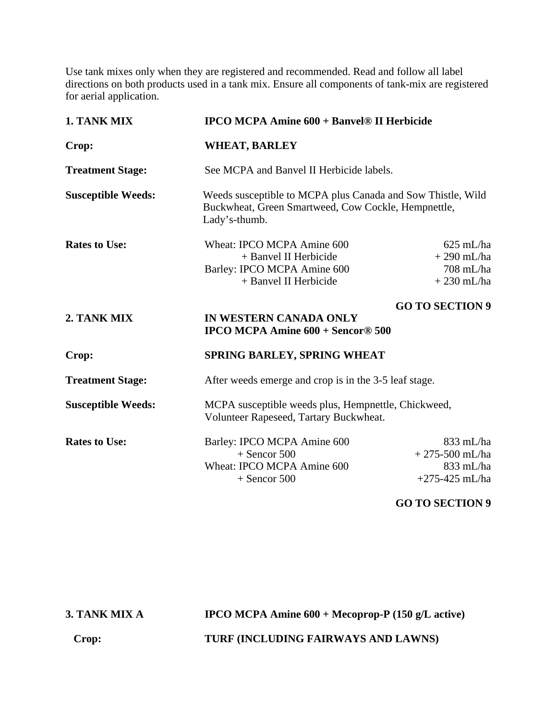Use tank mixes only when they are registered and recommended. Read and follow all label directions on both products used in a tank mix. Ensure all components of tank-mix are registered for aerial application.

| 1. TANK MIX               | <b>IPCO MCPA Amine 600 + Banvel® II Herbicide</b>                                                                                   |                                                                  |
|---------------------------|-------------------------------------------------------------------------------------------------------------------------------------|------------------------------------------------------------------|
| Crop:                     | <b>WHEAT, BARLEY</b>                                                                                                                |                                                                  |
| <b>Treatment Stage:</b>   | See MCPA and Banvel II Herbicide labels.                                                                                            |                                                                  |
| <b>Susceptible Weeds:</b> | Weeds susceptible to MCPA plus Canada and Sow Thistle, Wild<br>Buckwheat, Green Smartweed, Cow Cockle, Hempnettle,<br>Lady's-thumb. |                                                                  |
| <b>Rates to Use:</b>      | Wheat: IPCO MCPA Amine 600<br>+ Banvel II Herbicide<br>Barley: IPCO MCPA Amine 600<br>+ Banvel II Herbicide                         | $625$ mL/ha<br>$+290$ mL/ha<br>708 mL/ha<br>$+230$ mL/ha         |
| 2. TANK MIX               | IN WESTERN CANADA ONLY<br><b>IPCO MCPA Amine <math>600 +</math> Sencor® 500</b>                                                     | <b>GO TO SECTION 9</b>                                           |
| Crop:                     | SPRING BARLEY, SPRING WHEAT                                                                                                         |                                                                  |
| <b>Treatment Stage:</b>   | After weeds emerge and crop is in the 3-5 leaf stage.                                                                               |                                                                  |
| <b>Susceptible Weeds:</b> | MCPA susceptible weeds plus, Hempnettle, Chickweed,<br>Volunteer Rapeseed, Tartary Buckwheat.                                       |                                                                  |
| <b>Rates to Use:</b>      | Barley: IPCO MCPA Amine 600<br>$+$ Sencor 500<br>Wheat: IPCO MCPA Amine 600<br>$+$ Sencor 500                                       | $833$ mL/ha<br>$+275-500$ mL/ha<br>833 mL/ha<br>$+275-425$ mL/ha |

# **GO TO SECTION 9**

**3. TANK MIX A IPCO MCPA Amine 600 + Mecoprop-P (150 g/L active) Crop: TURF (INCLUDING FAIRWAYS AND LAWNS)**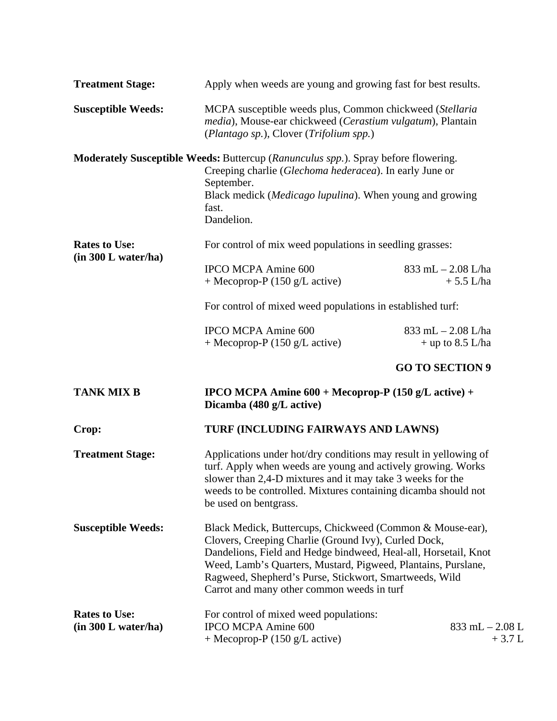| <b>Treatment Stage:</b>                     | Apply when weeds are young and growing fast for best results.                                                                                                                                                                                                                                                                                                 |                                              |  |
|---------------------------------------------|---------------------------------------------------------------------------------------------------------------------------------------------------------------------------------------------------------------------------------------------------------------------------------------------------------------------------------------------------------------|----------------------------------------------|--|
| <b>Susceptible Weeds:</b>                   | MCPA susceptible weeds plus, Common chickweed (Stellaria<br>media), Mouse-ear chickweed (Cerastium vulgatum), Plantain<br>(Plantago sp.), Clover (Trifolium spp.)                                                                                                                                                                                             |                                              |  |
|                                             | <b>Moderately Susceptible Weeds:</b> Buttercup (Ranunculus spp.). Spray before flowering.<br>Creeping charlie (Glechoma hederacea). In early June or<br>September.<br>Black medick (Medicago lupulina). When young and growing<br>fast.<br>Dandelion.                                                                                                         |                                              |  |
| <b>Rates to Use:</b>                        | For control of mix weed populations in seedling grasses:                                                                                                                                                                                                                                                                                                      |                                              |  |
| (in 300 L water/ha)                         | <b>IPCO MCPA Amine 600</b><br>+ Mecoprop-P $(150 \text{ g/L active})$                                                                                                                                                                                                                                                                                         | $833$ mL $- 2.08$ L/ha<br>$+ 5.5$ L/ha       |  |
|                                             | For control of mixed weed populations in established turf:                                                                                                                                                                                                                                                                                                    |                                              |  |
|                                             | <b>IPCO MCPA Amine 600</b><br>+ Mecoprop-P $(150 \text{ g/L active})$                                                                                                                                                                                                                                                                                         | $833$ mL $- 2.08$ L/ha<br>$+$ up to 8.5 L/ha |  |
|                                             |                                                                                                                                                                                                                                                                                                                                                               | <b>GO TO SECTION 9</b>                       |  |
| <b>TANK MIX B</b>                           | <b>IPCO MCPA Amine 600 + Mecoprop-P (150 g/L active) +</b><br>Dicamba (480 g/L active)                                                                                                                                                                                                                                                                        |                                              |  |
| Crop:                                       | TURF (INCLUDING FAIRWAYS AND LAWNS)                                                                                                                                                                                                                                                                                                                           |                                              |  |
| <b>Treatment Stage:</b>                     | Applications under hot/dry conditions may result in yellowing of<br>turf. Apply when weeds are young and actively growing. Works<br>slower than 2,4-D mixtures and it may take 3 weeks for the<br>weeds to be controlled. Mixtures containing dicamba should not<br>be used on bentgrass.                                                                     |                                              |  |
| <b>Susceptible Weeds:</b>                   | Black Medick, Buttercups, Chickweed (Common & Mouse-ear),<br>Clovers, Creeping Charlie (Ground Ivy), Curled Dock,<br>Dandelions, Field and Hedge bindweed, Heal-all, Horsetail, Knot<br>Weed, Lamb's Quarters, Mustard, Pigweed, Plantains, Purslane,<br>Ragweed, Shepherd's Purse, Stickwort, Smartweeds, Wild<br>Carrot and many other common weeds in turf |                                              |  |
| <b>Rates to Use:</b><br>(in 300 L water/ha) | For control of mixed weed populations:<br><b>IPCO MCPA Amine 600</b><br>+ Mecoprop-P $(150 \text{ g/L active})$                                                                                                                                                                                                                                               | $833$ mL $- 2.08$ L<br>$+3.7 L$              |  |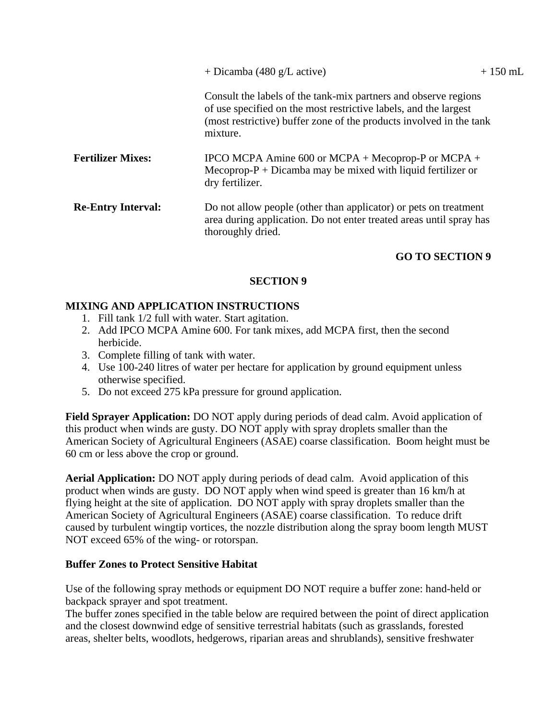| + Dicamba (480 g/L active) |  |  |  |  |
|----------------------------|--|--|--|--|
|----------------------------|--|--|--|--|

Consult the labels of the tank-mix partners and observe regions of use specified on the most restrictive labels, and the largest (most restrictive) buffer zone of the products involved in the tank mixture.

- Fertilizer Mixes: IPCO MCPA Amine 600 or MCPA + Mecoprop-P or MCPA + Mecoprop- $P + Dicamba$  may be mixed with liquid fertilizer or dry fertilizer.
- **Re-Entry Interval:** Do not allow people (other than applicator) or pets on treatment area during application. Do not enter treated areas until spray has thoroughly dried.

# **GO TO SECTION 9**

#### **SECTION 9**

# **MIXING AND APPLICATION INSTRUCTIONS**

- 1. Fill tank 1/2 full with water. Start agitation.
- 2. Add IPCO MCPA Amine 600. For tank mixes, add MCPA first, then the second herbicide.
- 3. Complete filling of tank with water.
- 4. Use 100-240 litres of water per hectare for application by ground equipment unless otherwise specified.
- 5. Do not exceed 275 kPa pressure for ground application.

**Field Sprayer Application:** DO NOT apply during periods of dead calm. Avoid application of this product when winds are gusty. DO NOT apply with spray droplets smaller than the American Society of Agricultural Engineers (ASAE) coarse classification. Boom height must be 60 cm or less above the crop or ground.

**Aerial Application:** DO NOT apply during periods of dead calm. Avoid application of this product when winds are gusty. DO NOT apply when wind speed is greater than 16 km/h at flying height at the site of application. DO NOT apply with spray droplets smaller than the American Society of Agricultural Engineers (ASAE) coarse classification. To reduce drift caused by turbulent wingtip vortices, the nozzle distribution along the spray boom length MUST NOT exceed 65% of the wing- or rotorspan.

#### **Buffer Zones to Protect Sensitive Habitat**

Use of the following spray methods or equipment DO NOT require a buffer zone: hand-held or backpack sprayer and spot treatment.

The buffer zones specified in the table below are required between the point of direct application and the closest downwind edge of sensitive terrestrial habitats (such as grasslands, forested areas, shelter belts, woodlots, hedgerows, riparian areas and shrublands), sensitive freshwater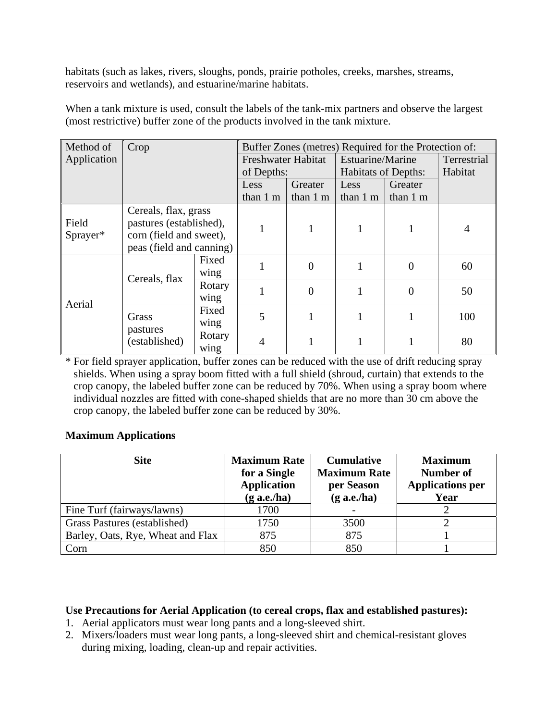habitats (such as lakes, rivers, sloughs, ponds, prairie potholes, creeks, marshes, streams, reservoirs and wetlands), and estuarine/marine habitats.

| Method of         | Crop                                                                                                   |                | Buffer Zones (metres) Required for the Protection of: |                    |                            |                |             |
|-------------------|--------------------------------------------------------------------------------------------------------|----------------|-------------------------------------------------------|--------------------|----------------------------|----------------|-------------|
| Application       |                                                                                                        |                | Freshwater Habitat                                    |                    | Estuarine/Marine           |                | Terrestrial |
|                   |                                                                                                        |                | of Depths:                                            |                    | <b>Habitats of Depths:</b> |                | Habitat     |
|                   |                                                                                                        |                | Less                                                  | Greater            | Less                       | Greater        |             |
|                   |                                                                                                        |                | than 1 m                                              | than $1 \text{ m}$ | than 1 m                   | than 1 m       |             |
| Field<br>Sprayer* | Cereals, flax, grass<br>pastures (established),<br>corn (field and sweet),<br>peas (field and canning) |                |                                                       |                    |                            |                | 4           |
| Aerial            | Cereals, flax                                                                                          | Fixed<br>wing  |                                                       | $\Omega$           |                            | 0              | 60          |
|                   |                                                                                                        | Rotary<br>wing |                                                       | $\overline{0}$     |                            | $\overline{0}$ | 50          |
|                   | Grass<br>pastures<br>(established)                                                                     | Fixed<br>wing  | 5                                                     |                    |                            |                | 100         |
|                   |                                                                                                        | Rotary<br>wing | $\overline{4}$                                        |                    |                            |                | 80          |

When a tank mixture is used, consult the labels of the tank-mix partners and observe the largest (most restrictive) buffer zone of the products involved in the tank mixture.

\* For field sprayer application, buffer zones can be reduced with the use of drift reducing spray shields. When using a spray boom fitted with a full shield (shroud, curtain) that extends to the crop canopy, the labeled buffer zone can be reduced by 70%. When using a spray boom where individual nozzles are fitted with cone-shaped shields that are no more than 30 cm above the crop canopy, the labeled buffer zone can be reduced by 30%.

# **Maximum Applications**

| <b>Site</b>                       | <b>Maximum Rate</b><br>for a Single<br><b>Application</b><br>$(g$ a.e./ha) | <b>Cumulative</b><br><b>Maximum Rate</b><br>per Season<br>$(g$ a.e./ha) | <b>Maximum</b><br>Number of<br><b>Applications per</b><br>Year |
|-----------------------------------|----------------------------------------------------------------------------|-------------------------------------------------------------------------|----------------------------------------------------------------|
| Fine Turf (fairways/lawns)        | 1700                                                                       |                                                                         |                                                                |
| Grass Pastures (established)      | 1750                                                                       | 3500                                                                    |                                                                |
| Barley, Oats, Rye, Wheat and Flax | 875                                                                        | 875                                                                     |                                                                |
| Corn                              | 850                                                                        | 850                                                                     |                                                                |

## **Use Precautions for Aerial Application (to cereal crops, flax and established pastures):**

- 1. Aerial applicators must wear long pants and a long-sleeved shirt.
- 2. Mixers/loaders must wear long pants, a long-sleeved shirt and chemical-resistant gloves during mixing, loading, clean-up and repair activities.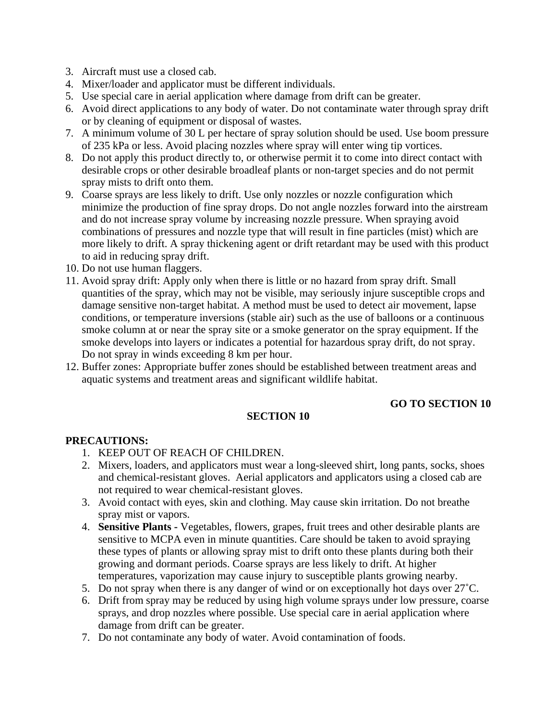- 3. Aircraft must use a closed cab.
- 4. Mixer/loader and applicator must be different individuals.
- 5. Use special care in aerial application where damage from drift can be greater.
- 6. Avoid direct applications to any body of water. Do not contaminate water through spray drift or by cleaning of equipment or disposal of wastes.
- 7. A minimum volume of 30 L per hectare of spray solution should be used. Use boom pressure of 235 kPa or less. Avoid placing nozzles where spray will enter wing tip vortices.
- 8. Do not apply this product directly to, or otherwise permit it to come into direct contact with desirable crops or other desirable broadleaf plants or non-target species and do not permit spray mists to drift onto them.
- 9. Coarse sprays are less likely to drift. Use only nozzles or nozzle configuration which minimize the production of fine spray drops. Do not angle nozzles forward into the airstream and do not increase spray volume by increasing nozzle pressure. When spraying avoid combinations of pressures and nozzle type that will result in fine particles (mist) which are more likely to drift. A spray thickening agent or drift retardant may be used with this product to aid in reducing spray drift.
- 10. Do not use human flaggers.
- 11. Avoid spray drift: Apply only when there is little or no hazard from spray drift. Small quantities of the spray, which may not be visible, may seriously injure susceptible crops and damage sensitive non-target habitat. A method must be used to detect air movement, lapse conditions, or temperature inversions (stable air) such as the use of balloons or a continuous smoke column at or near the spray site or a smoke generator on the spray equipment. If the smoke develops into layers or indicates a potential for hazardous spray drift, do not spray. Do not spray in winds exceeding 8 km per hour.
- 12. Buffer zones: Appropriate buffer zones should be established between treatment areas and aquatic systems and treatment areas and significant wildlife habitat.

# **GO TO SECTION 10**

#### **SECTION 10**

#### **PRECAUTIONS:**

- 1. KEEP OUT OF REACH OF CHILDREN.
- 2. Mixers, loaders, and applicators must wear a long-sleeved shirt, long pants, socks, shoes and chemical-resistant gloves. Aerial applicators and applicators using a closed cab are not required to wear chemical-resistant gloves.
- 3. Avoid contact with eyes, skin and clothing. May cause skin irritation. Do not breathe spray mist or vapors.
- 4. **Sensitive Plants** Vegetables, flowers, grapes, fruit trees and other desirable plants are sensitive to MCPA even in minute quantities. Care should be taken to avoid spraying these types of plants or allowing spray mist to drift onto these plants during both their growing and dormant periods. Coarse sprays are less likely to drift. At higher temperatures, vaporization may cause injury to susceptible plants growing nearby.
- 5. Do not spray when there is any danger of wind or on exceptionally hot days over  $27^{\circ}$ C.
- 6. Drift from spray may be reduced by using high volume sprays under low pressure, coarse sprays, and drop nozzles where possible. Use special care in aerial application where damage from drift can be greater.
- 7. Do not contaminate any body of water. Avoid contamination of foods.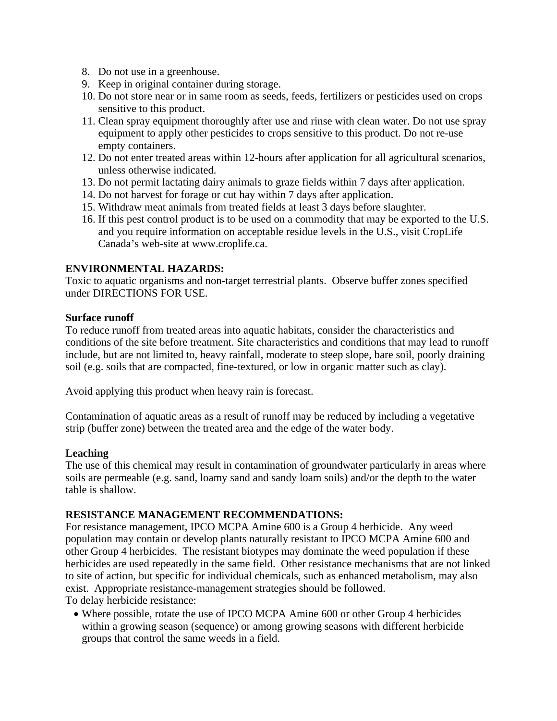- 8. Do not use in a greenhouse.
- 9. Keep in original container during storage.
- 10. Do not store near or in same room as seeds, feeds, fertilizers or pesticides used on crops sensitive to this product.
- 11. Clean spray equipment thoroughly after use and rinse with clean water. Do not use spray equipment to apply other pesticides to crops sensitive to this product. Do not re-use empty containers.
- 12. Do not enter treated areas within 12-hours after application for all agricultural scenarios, unless otherwise indicated.
- 13. Do not permit lactating dairy animals to graze fields within 7 days after application.
- 14. Do not harvest for forage or cut hay within 7 days after application.
- 15. Withdraw meat animals from treated fields at least 3 days before slaughter.
- 16. If this pest control product is to be used on a commodity that may be exported to the U.S. and you require information on acceptable residue levels in the U.S., visit CropLife Canada's web-site at www.croplife.ca.

#### **ENVIRONMENTAL HAZARDS:**

Toxic to aquatic organisms and non-target terrestrial plants. Observe buffer zones specified under DIRECTIONS FOR USE.

#### **Surface runoff**

To reduce runoff from treated areas into aquatic habitats, consider the characteristics and conditions of the site before treatment. Site characteristics and conditions that may lead to runoff include, but are not limited to, heavy rainfall, moderate to steep slope, bare soil, poorly draining soil (e.g. soils that are compacted, fine-textured, or low in organic matter such as clay).

Avoid applying this product when heavy rain is forecast.

Contamination of aquatic areas as a result of runoff may be reduced by including a vegetative strip (buffer zone) between the treated area and the edge of the water body.

#### **Leaching**

The use of this chemical may result in contamination of groundwater particularly in areas where soils are permeable (e.g. sand, loamy sand and sandy loam soils) and/or the depth to the water table is shallow.

#### **RESISTANCE MANAGEMENT RECOMMENDATIONS:**

For resistance management, IPCO MCPA Amine 600 is a Group 4 herbicide. Any weed population may contain or develop plants naturally resistant to IPCO MCPA Amine 600 and other Group 4 herbicides. The resistant biotypes may dominate the weed population if these herbicides are used repeatedly in the same field. Other resistance mechanisms that are not linked to site of action, but specific for individual chemicals, such as enhanced metabolism, may also exist. Appropriate resistance-management strategies should be followed. To delay herbicide resistance:

 Where possible, rotate the use of IPCO MCPA Amine 600 or other Group 4 herbicides within a growing season (sequence) or among growing seasons with different herbicide groups that control the same weeds in a field.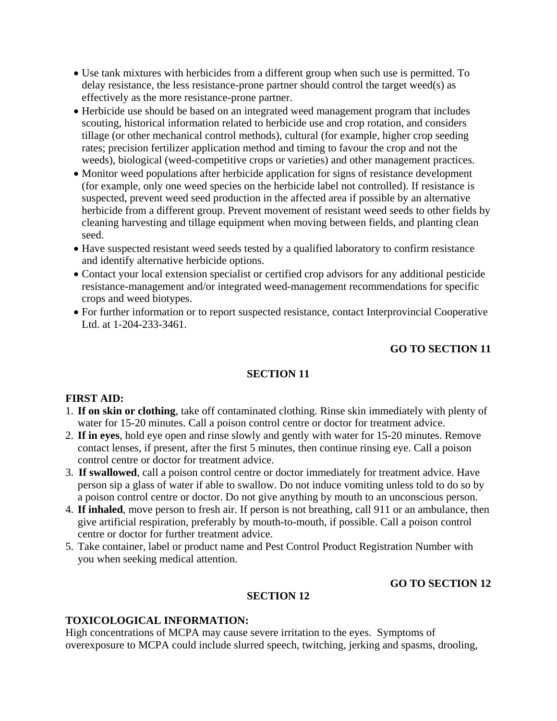- Use tank mixtures with herbicides from a different group when such use is permitted. To delay resistance, the less resistance-prone partner should control the target weed(s) as effectively as the more resistance-prone partner.
- Herbicide use should be based on an integrated weed management program that includes scouting, historical information related to herbicide use and crop rotation, and considers tillage (or other mechanical control methods), cultural (for example, higher crop seeding rates; precision fertilizer application method and timing to favour the crop and not the weeds), biological (weed-competitive crops or varieties) and other management practices.
- Monitor weed populations after herbicide application for signs of resistance development (for example, only one weed species on the herbicide label not controlled). If resistance is suspected, prevent weed seed production in the affected area if possible by an alternative herbicide from a different group. Prevent movement of resistant weed seeds to other fields by cleaning harvesting and tillage equipment when moving between fields, and planting clean seed.
- Have suspected resistant weed seeds tested by a qualified laboratory to confirm resistance and identify alternative herbicide options.
- Contact your local extension specialist or certified crop advisors for any additional pesticide resistance-management and/or integrated weed-management recommendations for specific crops and weed biotypes.
- For further information or to report suspected resistance, contact Interprovincial Cooperative Ltd. at 1-204-233-3461.

# **GO TO SECTION 11**

# **SECTION 11**

#### **FIRST AID:**

- 1. **If on skin or clothing**, take off contaminated clothing. Rinse skin immediately with plenty of water for 15-20 minutes. Call a poison control centre or doctor for treatment advice.
- 2. **If in eyes**, hold eye open and rinse slowly and gently with water for 15-20 minutes. Remove contact lenses, if present, after the first 5 minutes, then continue rinsing eye. Call a poison control centre or doctor for treatment advice.
- 3. **If swallowed**, call a poison control centre or doctor immediately for treatment advice. Have person sip a glass of water if able to swallow. Do not induce vomiting unless told to do so by a poison control centre or doctor. Do not give anything by mouth to an unconscious person.
- 4. **If inhaled**, move person to fresh air. If person is not breathing, call 911 or an ambulance, then give artificial respiration, preferably by mouth-to-mouth, if possible. Call a poison control centre or doctor for further treatment advice.
- 5. Take container, label or product name and Pest Control Product Registration Number with you when seeking medical attention.

# **GO TO SECTION 12**

### **SECTION 12**

# **TOXICOLOGICAL INFORMATION:**

High concentrations of MCPA may cause severe irritation to the eyes. Symptoms of overexposure to MCPA could include slurred speech, twitching, jerking and spasms, drooling,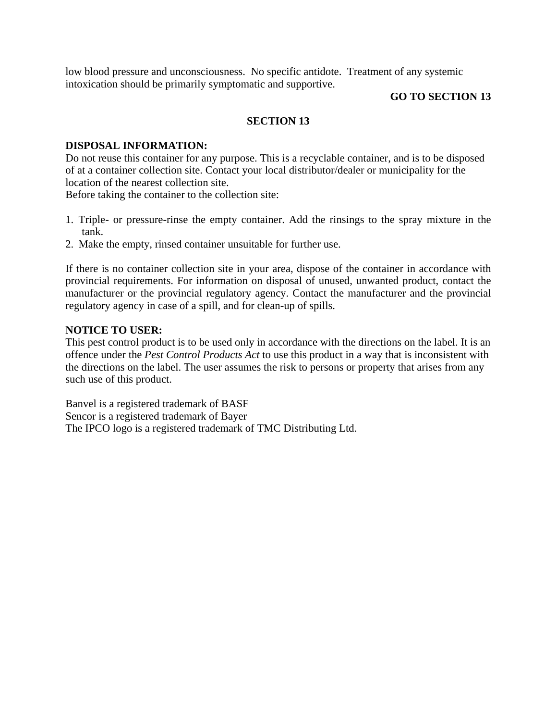low blood pressure and unconsciousness. No specific antidote. Treatment of any systemic intoxication should be primarily symptomatic and supportive.

#### **GO TO SECTION 13**

#### **SECTION 13**

#### **DISPOSAL INFORMATION:**

Do not reuse this container for any purpose. This is a recyclable container, and is to be disposed of at a container collection site. Contact your local distributor/dealer or municipality for the location of the nearest collection site.

Before taking the container to the collection site:

- 1. Triple- or pressure-rinse the empty container. Add the rinsings to the spray mixture in the tank.
- 2. Make the empty, rinsed container unsuitable for further use.

If there is no container collection site in your area, dispose of the container in accordance with provincial requirements. For information on disposal of unused, unwanted product, contact the manufacturer or the provincial regulatory agency. Contact the manufacturer and the provincial regulatory agency in case of a spill, and for clean-up of spills.

#### **NOTICE TO USER:**

This pest control product is to be used only in accordance with the directions on the label. It is an offence under the *Pest Control Products Act* to use this product in a way that is inconsistent with the directions on the label. The user assumes the risk to persons or property that arises from any such use of this product.

Banvel is a registered trademark of BASF Sencor is a registered trademark of Bayer The IPCO logo is a registered trademark of TMC Distributing Ltd.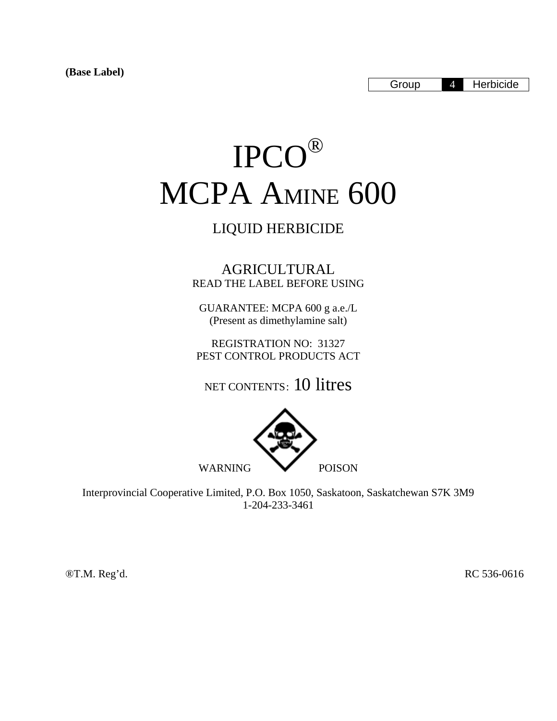# IPCO® MCPA AMINE 600

# LIQUID HERBICIDE

AGRICULTURAL READ THE LABEL BEFORE USING

GUARANTEE: MCPA 600 g a.e./L (Present as dimethylamine salt)

REGISTRATION NO: 31327 PEST CONTROL PRODUCTS ACT

NET CONTENTS: 10 litres



Interprovincial Cooperative Limited, P.O. Box 1050, Saskatoon, Saskatchewan S7K 3M9 1-204-233-3461

®T.M. Reg'd. RC 536-0616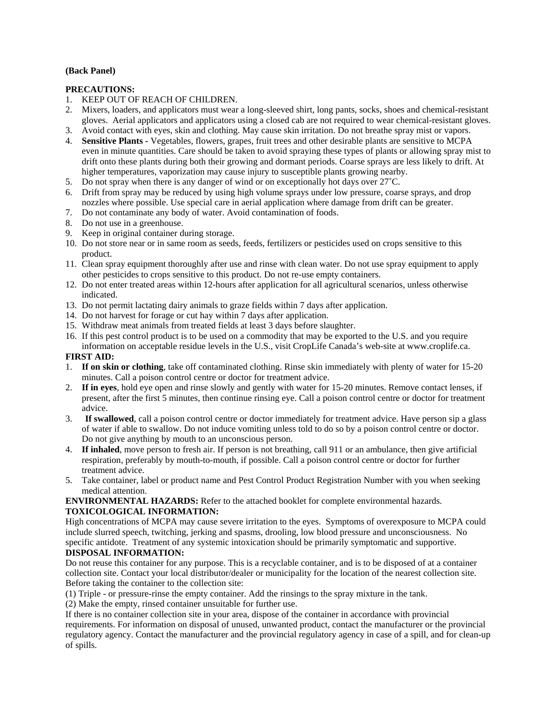#### **(Back Panel)**

#### **PRECAUTIONS:**

- 1. KEEP OUT OF REACH OF CHILDREN.
- 2. Mixers, loaders, and applicators must wear a long-sleeved shirt, long pants, socks, shoes and chemical-resistant gloves. Aerial applicators and applicators using a closed cab are not required to wear chemical-resistant gloves.
- 3. Avoid contact with eyes, skin and clothing. May cause skin irritation. Do not breathe spray mist or vapors.
- 4. **Sensitive Plants** Vegetables, flowers, grapes, fruit trees and other desirable plants are sensitive to MCPA even in minute quantities. Care should be taken to avoid spraying these types of plants or allowing spray mist to drift onto these plants during both their growing and dormant periods. Coarse sprays are less likely to drift. At higher temperatures, vaporization may cause injury to susceptible plants growing nearby.
- 5. Do not spray when there is any danger of wind or on exceptionally hot days over 27˚C.
- 6. Drift from spray may be reduced by using high volume sprays under low pressure, coarse sprays, and drop nozzles where possible. Use special care in aerial application where damage from drift can be greater.
- 7. Do not contaminate any body of water. Avoid contamination of foods.
- 8. Do not use in a greenhouse.
- 9. Keep in original container during storage.
- 10. Do not store near or in same room as seeds, feeds, fertilizers or pesticides used on crops sensitive to this product.
- 11. Clean spray equipment thoroughly after use and rinse with clean water. Do not use spray equipment to apply other pesticides to crops sensitive to this product. Do not re-use empty containers.
- 12. Do not enter treated areas within 12-hours after application for all agricultural scenarios, unless otherwise indicated.
- 13. Do not permit lactating dairy animals to graze fields within 7 days after application.
- 14. Do not harvest for forage or cut hay within 7 days after application.
- 15. Withdraw meat animals from treated fields at least 3 days before slaughter.
- 16. If this pest control product is to be used on a commodity that may be exported to the U.S. and you require
- information on acceptable residue levels in the U.S., visit CropLife Canada's web-site at www.croplife.ca. **FIRST AID:**
- 1. **If on skin or clothing**, take off contaminated clothing. Rinse skin immediately with plenty of water for 15-20 minutes. Call a poison control centre or doctor for treatment advice.
- 2. **If in eyes**, hold eye open and rinse slowly and gently with water for 15-20 minutes. Remove contact lenses, if present, after the first 5 minutes, then continue rinsing eye. Call a poison control centre or doctor for treatment advice.
- 3. **If swallowed**, call a poison control centre or doctor immediately for treatment advice. Have person sip a glass of water if able to swallow. Do not induce vomiting unless told to do so by a poison control centre or doctor. Do not give anything by mouth to an unconscious person.
- 4. **If inhaled**, move person to fresh air. If person is not breathing, call 911 or an ambulance, then give artificial respiration, preferably by mouth-to-mouth, if possible. Call a poison control centre or doctor for further treatment advice.
- 5. Take container, label or product name and Pest Control Product Registration Number with you when seeking medical attention.

**ENVIRONMENTAL HAZARDS:** Refer to the attached booklet for complete environmental hazards. **TOXICOLOGICAL INFORMATION:** 

High concentrations of MCPA may cause severe irritation to the eyes. Symptoms of overexposure to MCPA could include slurred speech, twitching, jerking and spasms, drooling, low blood pressure and unconsciousness. No specific antidote. Treatment of any systemic intoxication should be primarily symptomatic and supportive. **DISPOSAL INFORMATION:** 

Do not reuse this container for any purpose. This is a recyclable container, and is to be disposed of at a container collection site. Contact your local distributor/dealer or municipality for the location of the nearest collection site. Before taking the container to the collection site:

(1) Triple - or pressure-rinse the empty container. Add the rinsings to the spray mixture in the tank.

(2) Make the empty, rinsed container unsuitable for further use.

If there is no container collection site in your area, dispose of the container in accordance with provincial requirements. For information on disposal of unused, unwanted product, contact the manufacturer or the provincial regulatory agency. Contact the manufacturer and the provincial regulatory agency in case of a spill, and for clean-up of spills.